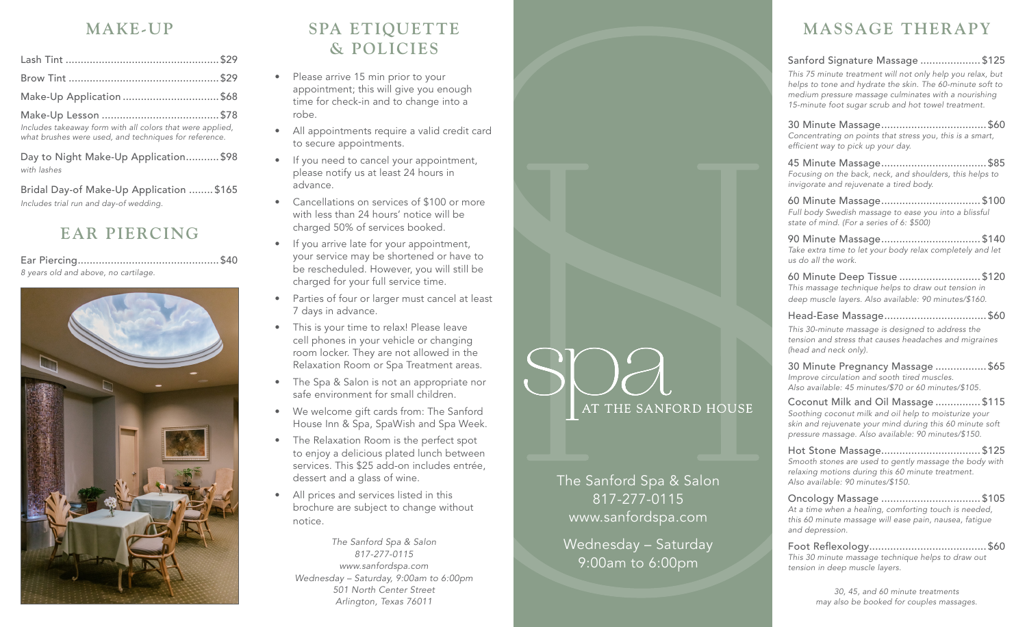## **MAKE-UP**

| Make-Up Application  \$68                         |  |
|---------------------------------------------------|--|
| $M_2$ ko II.a Ingeresa (h. 1878).<br>$\sqrt{378}$ |  |

Make-Up Lesson ....................................... \$78 *Includes takeaway form with all colors that were applied, what brushes were used, and techniques for reference.*

Day to Night Make-Up Application........... \$98 *with lashes*

Bridal Day-of Make-Up Application ........ \$165 *Includes trial run and day-of wedding.*

## **EAR PIERCING**

Ear Piercing............................................... \$40 *8 years old and above, no cartilage.*



# **SPA ETIQUETTE & POLICIES**

- Please arrive 15 min prior to your appointment; this will give you enough time for check-in and to change into a robe.
- All appointments require a valid credit card to secure appointments.
- If you need to cancel your appointment, please notify us at least 24 hours in advance.
- Cancellations on services of \$100 or more with less than 24 hours' notice will be charged 50% of services booked.
- If you arrive late for your appointment, your service may be shortened or have to be rescheduled. However, you will still be charged for your full service time.
- Parties of four or larger must cancel at least 7 days in advance.
- This is your time to relax! Please leave cell phones in your vehicle or changing room locker. They are not allowed in the Relaxation Room or Spa Treatment areas.
- The Spa & Salon is not an appropriate nor safe environment for small children.
- We welcome gift cards from: The Sanford House Inn & Spa, SpaWish and Spa Week.
- The Relaxation Room is the perfect spot to enjoy a delicious plated lunch between services. This \$25 add-on includes entrée, dessert and a glass of wine.
- All prices and services listed in this brochure are subject to change without notice.

*The Sanford Spa & Salon 817-277-0115 www.sanfordspa.com Wednesday – Saturday, 9:00am to 6:00pm 501 North Center Street Arlington, Texas 76011*



The Sanford Spa & Salon 817-277-0115 www.sanfordspa.com

Wednesday – Saturday 9:00am to 6:00pm

# **MASSAGE THERAPY**

### Sanford Signature Massage .................... \$125

*This 75 minute treatment will not only help you relax, but helps to tone and hydrate the skin. The 60-minute soft to medium pressure massage culminates with a nourishing 15-minute foot sugar scrub and hot towel treatment.*

30 Minute Massage................................... \$60 *Concentrating on points that stress you, this is a smart,*  efficient way to pick up your day.

45 Minute Massage................................... \$85 *Focusing on the back, neck, and shoulders, this helps to invigorate and rejuvenate a tired body.*

60 Minute Massage................................. \$100 *Full body Swedish massage to ease you into a blissful state of mind. (For a series of 6: \$500)*

90 Minute Massage................................. \$140 *Take extra time to let your body relax completely and let us do all the work.*

60 Minute Deep Tissue ........................... \$120 *This massage technique helps to draw out tension in deep muscle layers. Also available: 90 minutes/\$160.*

#### Head-Ease Massage.................................. \$60

*This 30-minute massage is designed to address the tension and stress that causes headaches and migraines (head and neck only).*

30 Minute Pregnancy Massage ................. \$65 *Improve circulation and sooth tired muscles. Also available: 45 minutes/\$70 or 60 minutes/\$105.*

Coconut Milk and Oil Massage ............... \$115 *Soothing coconut milk and oil help to moisturize your* 

*skin and rejuvenate your mind during this 60 minute soft pressure massage. Also available: 90 minutes/\$150.*

Hot Stone Massage................................. \$125 *Smooth stones are used to gently massage the body with relaxing motions during this 60 minute treatment. Also available: 90 minutes/\$150.*

Oncology Massage ................................. \$105 *At a time when a healing, comforting touch is needed, this 60 minute massage will ease pain, nausea, fatigue and depression.*

Foot Reflexology....................................... \$60 *This 30 minute massage technique helps to draw out tension in deep muscle layers.*

> *30, 45, and 60 minute treatments may also be booked for couples massages.*